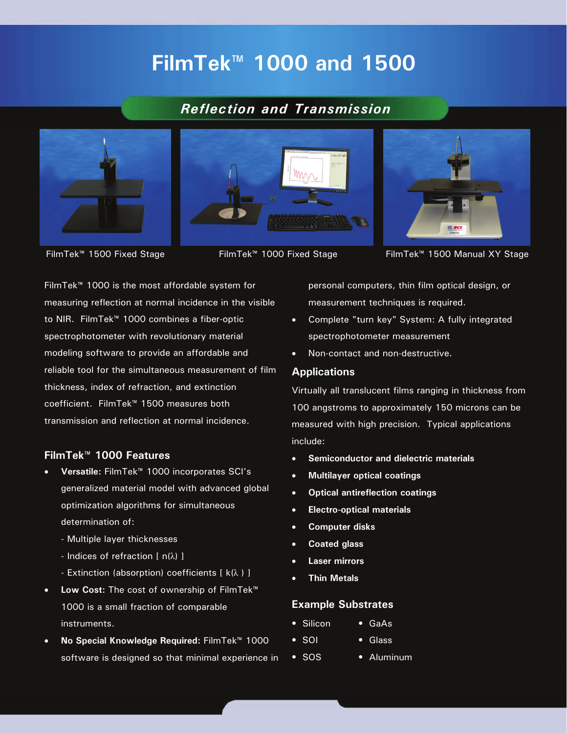# **FilmTek™ 1000 and 1500**

# *Reflection and Transmission*







FilmTek™ 1500 Fixed Stage FilmTek™ 1000 Fixed Stage FilmTek™ 1500 Manual XY Stage

FilmTek™ 1000 is the most affordable system for measuring reflection at normal incidence in the visible to NIR. FilmTek™ 1000 combines a fiber-optic spectrophotometer with revolutionary material modeling software to provide an affordable and reliable tool for the simultaneous measurement of film thickness, index of refraction, and extinction coefficient. FilmTek™ 1500 measures both transmission and reflection at normal incidence.

### **FilmTek™ 1000 Features**

- **Versatile:** FilmTek™ 1000 incorporates SCI's generalized material model with advanced global optimization algorithms for simultaneous determination of:
	- Multiple layer thicknesses
	- Indices of refraction [ n(λ) ]
	- Extinction (absorption) coefficients  $[k(\lambda)]$
- **Low Cost:** The cost of ownership of FilmTek™ 1000 is a small fraction of comparable instruments.
- **No Special Knowledge Required:** FilmTek™ 1000 software is designed so that minimal experience in

personal computers, thin film optical design, or measurement techniques is required.

- Complete "turn key" System: A fully integrated spectrophotometer measurement
- Non-contact and non-destructive.

#### **Applications**

Virtually all translucent films ranging in thickness from 100 angstroms to approximately 150 microns can be measured with high precision. Typical applications include:

- **Semiconductor and dielectric materials**
- **Multilayer optical coatings**
- **Optical antireflection coatings**
- **Electro-optical materials**
- **Computer disks**
- **Coated glass**
- **Laser mirrors**
- **Thin Metals**

#### **Example Substrates**

- Silicon GaAs
- SOI Glass
- SOS Aluminum